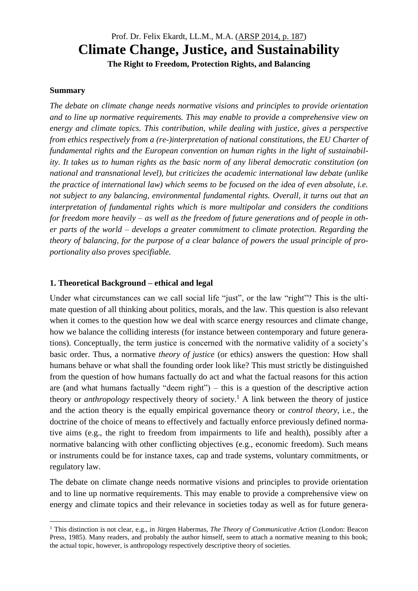# Prof. Dr. Felix Ekardt, LL.M., M.A. (ARSP 2014, p. 187) **Climate Change, Justice, and Sustainability**

**The Right to Freedom, Protection Rights, and Balancing**

#### **Summary**

l

*The debate on climate change needs normative visions and principles to provide orientation and to line up normative requirements. This may enable to provide a comprehensive view on energy and climate topics. This contribution, while dealing with justice, gives a perspective from ethics respectively from a (re-)interpretation of national constitutions, the EU Charter of fundamental rights and the European convention on human rights in the light of sustainability. It takes us to human rights as the basic norm of any liberal democratic constitution (on national and transnational level), but criticizes the academic international law debate (unlike the practice of international law) which seems to be focused on the idea of even absolute, i.e. not subject to any balancing, environmental fundamental rights. Overall, it turns out that an interpretation of fundamental rights which is more multipolar and considers the conditions for freedom more heavily – as well as the freedom of future generations and of people in other parts of the world – develops a greater commitment to climate protection. Regarding the theory of balancing, for the purpose of a clear balance of powers the usual principle of proportionality also proves specifiable.*

#### **1. Theoretical Background – ethical and legal**

Under what circumstances can we call social life "just", or the law "right"? This is the ultimate question of all thinking about politics, morals, and the law. This question is also relevant when it comes to the question how we deal with scarce energy resources and climate change, how we balance the colliding interests (for instance between contemporary and future generations). Conceptually, the term justice is concerned with the normative validity of a society's basic order. Thus, a normative *theory of justice* (or ethics) answers the question: How shall humans behave or what shall the founding order look like? This must strictly be distinguished from the question of how humans factually do act and what the factual reasons for this action are (and what humans factually "deem right") – this is a question of the descriptive action theory or *anthropology* respectively theory of society. <sup>1</sup> A link between the theory of justice and the action theory is the equally empirical governance theory or *control theory*, i.e., the doctrine of the choice of means to effectively and factually enforce previously defined normative aims (e.g., the right to freedom from impairments to life and health), possibly after a normative balancing with other conflicting objectives (e.g., economic freedom). Such means or instruments could be for instance taxes, cap and trade systems, voluntary commitments, or regulatory law.

The debate on climate change needs normative visions and principles to provide orientation and to line up normative requirements. This may enable to provide a comprehensive view on energy and climate topics and their relevance in societies today as well as for future genera-

<sup>1</sup> This distinction is not clear, e.g., in Jürgen Habermas, *The Theory of Communicative Action* (London: Beacon Press, 1985). Many readers, and probably the author himself, seem to attach a normative meaning to this book; the actual topic, however, is anthropology respectively descriptive theory of societies.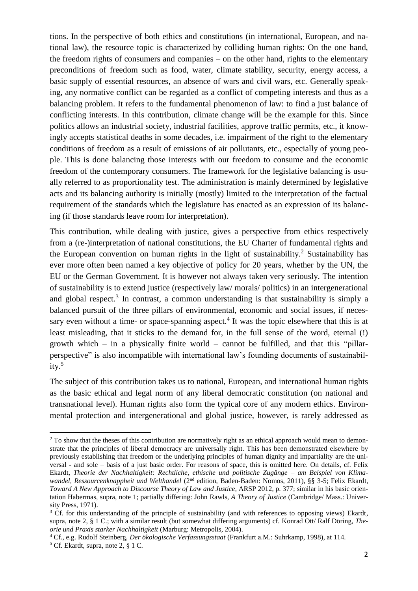tions. In the perspective of both ethics and constitutions (in international, European, and national law), the resource topic is characterized by colliding human rights: On the one hand, the freedom rights of consumers and companies – on the other hand, rights to the elementary preconditions of freedom such as food, water, climate stability, security, energy access, a basic supply of essential resources, an absence of wars and civil wars, etc. Generally speaking, any normative conflict can be regarded as a conflict of competing interests and thus as a balancing problem. It refers to the fundamental phenomenon of law: to find a just balance of conflicting interests. In this contribution, climate change will be the example for this. Since politics allows an industrial society, industrial facilities, approve traffic permits, etc., it knowingly accepts statistical deaths in some decades, i.e. impairment of the right to the elementary conditions of freedom as a result of emissions of air pollutants, etc., especially of young people. This is done balancing those interests with our freedom to consume and the economic freedom of the contemporary consumers. The framework for the legislative balancing is usually referred to as proportionality test. The administration is mainly determined by legislative acts and its balancing authority is initially (mostly) limited to the interpretation of the factual requirement of the standards which the legislature has enacted as an expression of its balancing (if those standards leave room for interpretation).

This contribution, while dealing with justice, gives a perspective from ethics respectively from a (re-)interpretation of national constitutions, the EU Charter of fundamental rights and the European convention on human rights in the light of sustainability.<sup>2</sup> Sustainability has ever more often been named a key objective of policy for 20 years, whether by the UN, the EU or the German Government. It is however not always taken very seriously. The intention of sustainability is to extend justice (respectively law/ morals/ politics) in an intergenerational and global respect.<sup>3</sup> In contrast, a common understanding is that sustainability is simply a balanced pursuit of the three pillars of environmental, economic and social issues, if necessary even without a time- or space-spanning aspect.<sup>4</sup> It was the topic elsewhere that this is at least misleading, that it sticks to the demand for, in the full sense of the word, eternal (!) growth which – in a physically finite world – cannot be fulfilled, and that this "pillarperspective" is also incompatible with international law's founding documents of sustainability. 5

The subject of this contribution takes us to national, European, and international human rights as the basic ethical and legal norm of any liberal democratic constitution (on national and transnational level). Human rights also form the typical core of any modern ethics. Environmental protection and intergenerational and global justice, however, is rarely addressed as

 $\overline{\phantom{a}}$ 

<sup>&</sup>lt;sup>2</sup> To show that the theses of this contribution are normatively right as an ethical approach would mean to demonstrate that the principles of liberal democracy are universally right. This has been demonstrated elsewhere by previously establishing that freedom or the underlying principles of human dignity and impartiality are the universal - and sole – basis of a just basic order. For reasons of space, this is omitted here. On details, cf. Felix Ekardt, *Theorie der Nachhaltigkeit: Rechtliche, ethische und politische Zugänge – am Beispiel von Klimawandel, Ressourcenknappheit und Welthandel* (2nd edition, Baden-Baden: Nomos, 2011), §§ 3-5; Felix Ekardt, *Toward A New Approach to Discourse Theory of Law and Justice*, ARSP 2012, p. 377; similar in his basic orientation Habermas, supra, note 1; partially differing: John Rawls, *A Theory of Justice* (Cambridge/ Mass.: University Press, 1971).

<sup>&</sup>lt;sup>3</sup> Cf. for this understanding of the principle of sustainability (and with references to opposing views) Ekardt, supra, note 2, § 1 C.; with a similar result (but somewhat differing arguments) cf. Konrad Ott/ Ralf Döring, *Theorie und Praxis starker Nachhaltigkeit* (Marburg: Metropolis, 2004).

<sup>4</sup> Cf., e.g. Rudolf Steinberg, *Der ökologische Verfassungsstaat* (Frankfurt a.M.: Suhrkamp, 1998), at 114.

<sup>5</sup> Cf. Ekardt, supra, note 2, § 1 C.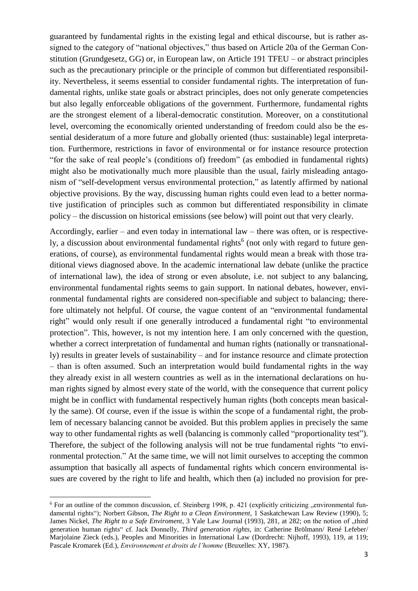guaranteed by fundamental rights in the existing legal and ethical discourse, but is rather assigned to the category of "national objectives," thus based on Article 20a of the German Constitution (Grundgesetz, GG) or, in European law, on Article 191 TFEU – or abstract principles such as the precautionary principle or the principle of common but differentiated responsibility. Nevertheless, it seems essential to consider fundamental rights. The interpretation of fundamental rights, unlike state goals or abstract principles, does not only generate competencies but also legally enforceable obligations of the government. Furthermore, fundamental rights are the strongest element of a liberal-democratic constitution. Moreover, on a constitutional level, overcoming the economically oriented understanding of freedom could also be the essential desideratum of a more future and globally oriented (thus: sustainable) legal interpretation. Furthermore, restrictions in favor of environmental or for instance resource protection "for the sake of real people's (conditions of) freedom" (as embodied in fundamental rights) might also be motivationally much more plausible than the usual, fairly misleading antagonism of "self-development versus environmental protection," as latently affirmed by national objective provisions. By the way, discussing human rights could even lead to a better normative justification of principles such as common but differentiated responsibility in climate policy – the discussion on historical emissions (see below) will point out that very clearly.

Accordingly, earlier – and even today in international law – there was often, or is respectively, a discussion about environmental fundamental rights<sup>6</sup> (not only with regard to future generations, of course), as environmental fundamental rights would mean a break with those traditional views diagnosed above. In the academic international law debate (unlike the practice of international law), the idea of strong or even absolute, i.e. not subject to any balancing, environmental fundamental rights seems to gain support. In national debates, however, environmental fundamental rights are considered non-specifiable and subject to balancing; therefore ultimately not helpful. Of course, the vague content of an "environmental fundamental right" would only result if one generally introduced a fundamental right "to environmental protection". This, however, is not my intention here. I am only concerned with the question, whether a correct interpretation of fundamental and human rights (nationally or transnationally) results in greater levels of sustainability – and for instance resource and climate protection – than is often assumed. Such an interpretation would build fundamental rights in the way they already exist in all western countries as well as in the international declarations on human rights signed by almost every state of the world, with the consequence that current policy might be in conflict with fundamental respectively human rights (both concepts mean basically the same). Of course, even if the issue is within the scope of a fundamental right, the problem of necessary balancing cannot be avoided. But this problem applies in precisely the same way to other fundamental rights as well (balancing is commonly called "proportionality test"). Therefore, the subject of the following analysis will not be true fundamental rights "to environmental protection." At the same time, we will not limit ourselves to accepting the common assumption that basically all aspects of fundamental rights which concern environmental issues are covered by the right to life and health, which then (a) included no provision for pre-

 $\overline{a}$ 

 $6$  For an outline of the common discussion, cf. Steinberg 1998, p. 421 (explicitly criticizing environmental fundamental rights"); Norbert Gibson, *The Right to a Clean Environment*, 1 Saskatchewan Law Review (1990), 5; James Nickel, *The Right to a Safe Enviroment*, 3 Yale Law Journal (1993), 281, at 282; on the notion of "third generation human rights" cf. Jack Donnelly, *Third generation rights*, in: Catherine Brölmann/ René Lefeber/ Marjolaine Zieck (eds.), Peoples and Minorities in International Law (Dordrecht: Nijhoff, 1993), 119, at 119; Pascale Kromarek (Ed.), *Environnement et droits de l'homme* (Bruxelles: XY, 1987).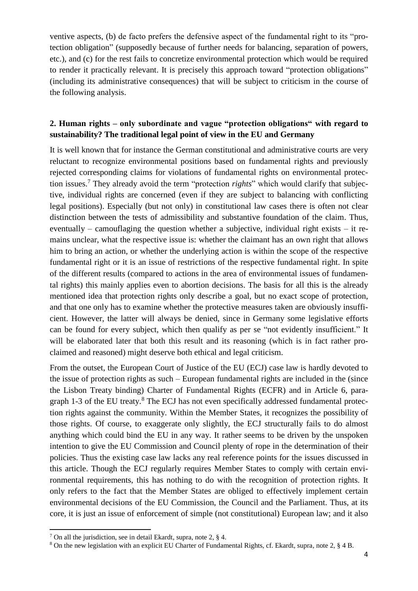ventive aspects, (b) de facto prefers the defensive aspect of the fundamental right to its "protection obligation" (supposedly because of further needs for balancing, separation of powers, etc.), and (c) for the rest fails to concretize environmental protection which would be required to render it practically relevant. It is precisely this approach toward "protection obligations" (including its administrative consequences) that will be subject to criticism in the course of the following analysis.

# **2. Human rights – only subordinate and vague "protection obligations" with regard to sustainability? The traditional legal point of view in the EU and Germany**

It is well known that for instance the German constitutional and administrative courts are very reluctant to recognize environmental positions based on fundamental rights and previously rejected corresponding claims for violations of fundamental rights on environmental protection issues.<sup>7</sup> They already avoid the term "protection *rights*" which would clarify that subjective, individual rights are concerned (even if they are subject to balancing with conflicting legal positions). Especially (but not only) in constitutional law cases there is often not clear distinction between the tests of admissibility and substantive foundation of the claim. Thus, eventually – camouflaging the question whether a subjective, individual right exists – it remains unclear, what the respective issue is: whether the claimant has an own right that allows him to bring an action, or whether the underlying action is within the scope of the respective fundamental right or it is an issue of restrictions of the respective fundamental right. In spite of the different results (compared to actions in the area of environmental issues of fundamental rights) this mainly applies even to abortion decisions. The basis for all this is the already mentioned idea that protection rights only describe a goal, but no exact scope of protection, and that one only has to examine whether the protective measures taken are obviously insufficient. However, the latter will always be denied, since in Germany some legislative efforts can be found for every subject, which then qualify as per se "not evidently insufficient." It will be elaborated later that both this result and its reasoning (which is in fact rather proclaimed and reasoned) might deserve both ethical and legal criticism.

From the outset, the European Court of Justice of the EU (ECJ) case law is hardly devoted to the issue of protection rights as such – European fundamental rights are included in the (since the Lisbon Treaty binding) Charter of Fundamental Rights (ECFR) and in Article 6, paragraph 1-3 of the EU treaty.<sup>8</sup> The ECJ has not even specifically addressed fundamental protection rights against the community. Within the Member States, it recognizes the possibility of those rights. Of course, to exaggerate only slightly, the ECJ structurally fails to do almost anything which could bind the EU in any way. It rather seems to be driven by the unspoken intention to give the EU Commission and Council plenty of rope in the determination of their policies. Thus the existing case law lacks any real reference points for the issues discussed in this article. Though the ECJ regularly requires Member States to comply with certain environmental requirements, this has nothing to do with the recognition of protection rights. It only refers to the fact that the Member States are obliged to effectively implement certain environmental decisions of the EU Commission, the Council and the Parliament. Thus, at its core, it is just an issue of enforcement of simple (not constitutional) European law; and it also

 $\overline{a}$ 

<sup>7</sup> On all the jurisdiction, see in detail Ekardt, supra, note 2, § 4.

<sup>8</sup> On the new legislation with an explicit EU Charter of Fundamental Rights, cf. Ekardt, supra, note 2, § 4 B.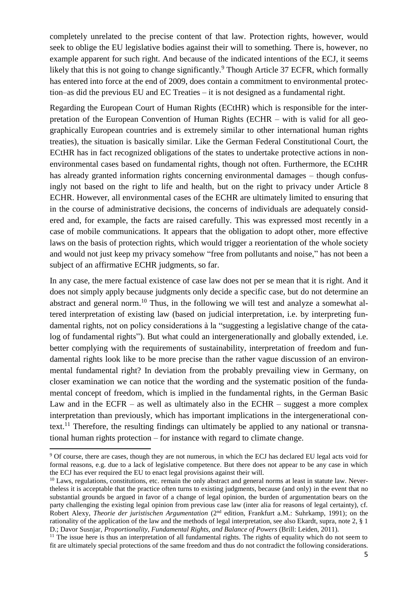completely unrelated to the precise content of that law. Protection rights, however, would seek to oblige the EU legislative bodies against their will to something. There is, however, no example apparent for such right. And because of the indicated intentions of the ECJ, it seems likely that this is not going to change significantly.<sup>9</sup> Though Article 37 ECFR, which formally has entered into force at the end of 2009, does contain a commitment to environmental protection–as did the previous EU and EC Treaties – it is not designed as a fundamental right.

Regarding the European Court of Human Rights (ECtHR) which is responsible for the interpretation of the European Convention of Human Rights (ECHR – with is valid for all geographically European countries and is extremely similar to other international human rights treaties), the situation is basically similar. Like the German Federal Constitutional Court, the ECtHR has in fact recognized obligations of the states to undertake protective actions in nonenvironmental cases based on fundamental rights, though not often. Furthermore, the ECtHR has already granted information rights concerning environmental damages – though confusingly not based on the right to life and health, but on the right to privacy under Article 8 ECHR. However, all environmental cases of the ECHR are ultimately limited to ensuring that in the course of administrative decisions, the concerns of individuals are adequately considered and, for example, the facts are raised carefully. This was expressed most recently in a case of mobile communications. It appears that the obligation to adopt other, more effective laws on the basis of protection rights, which would trigger a reorientation of the whole society and would not just keep my privacy somehow "free from pollutants and noise," has not been a subject of an affirmative ECHR judgments, so far.

In any case, the mere factual existence of case law does not per se mean that it is right. And it does not simply apply because judgments only decide a specific case, but do not determine an abstract and general norm.<sup>10</sup> Thus, in the following we will test and analyze a somewhat altered interpretation of existing law (based on judicial interpretation, i.e. by interpreting fundamental rights, not on policy considerations à la "suggesting a legislative change of the catalog of fundamental rights"). But what could an intergenerationally and globally extended, i.e. better complying with the requirements of sustainability, interpretation of freedom and fundamental rights look like to be more precise than the rather vague discussion of an environmental fundamental right? In deviation from the probably prevailing view in Germany, on closer examination we can notice that the wording and the systematic position of the fundamental concept of freedom, which is implied in the fundamental rights, in the German Basic Law and in the ECFR – as well as ultimately also in the ECHR – suggest a more complex interpretation than previously, which has important implications in the intergenerational context.<sup>11</sup> Therefore, the resulting findings can ultimately be applied to any national or transnational human rights protection – for instance with regard to climate change.

 $\overline{a}$ 

<sup>&</sup>lt;sup>9</sup> Of course, there are cases, though they are not numerous, in which the ECJ has declared EU legal acts void for formal reasons, e.g. due to a lack of legislative competence. But there does not appear to be any case in which the ECJ has ever required the EU to enact legal provisions against their will.

 $10$  Laws, regulations, constitutions, etc. remain the only abstract and general norms at least in statute law. Nevertheless it is acceptable that the practice often turns to existing judgments, because (and only) in the event that no substantial grounds be argued in favor of a change of legal opinion, the burden of argumentation bears on the party challenging the existing legal opinion from previous case law (inter alia for reasons of legal certainty), cf. Robert Alexy, *Theorie der juristischen Argumentation* (2nd edition, Frankfurt a.M.: Suhrkamp, 1991); on the rationality of the application of the law and the methods of legal interpretation, see also Ekardt, supra, note 2, § 1 D.; Davor Susnjar, *Proportionality, Fundamental Rights, and Balance of Powers* (Brill: Leiden, 2011).

 $11$  The issue here is thus an interpretation of all fundamental rights. The rights of equality which do not seem to fit are ultimately special protections of the same freedom and thus do not contradict the following considerations.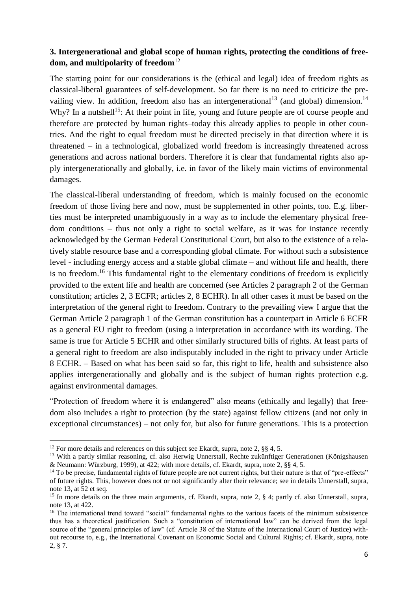# **3. Intergenerational and global scope of human rights, protecting the conditions of free**dom, and multipolarity of freedom<sup>12</sup>

The starting point for our considerations is the (ethical and legal) idea of freedom rights as classical-liberal guarantees of self-development. So far there is no need to criticize the prevailing view. In addition, freedom also has an intergenerational<sup>13</sup> (and global) dimension.<sup>14</sup> Why? In a nutshell<sup>15</sup>: At their point in life, young and future people are of course people and therefore are protected by human rights–today this already applies to people in other countries. And the right to equal freedom must be directed precisely in that direction where it is threatened – in a technological, globalized world freedom is increasingly threatened across generations and across national borders. Therefore it is clear that fundamental rights also apply intergenerationally and globally, i.e. in favor of the likely main victims of environmental damages.

The classical-liberal understanding of freedom, which is mainly focused on the economic freedom of those living here and now, must be supplemented in other points, too. E.g. liberties must be interpreted unambiguously in a way as to include the elementary physical freedom conditions – thus not only a right to social welfare, as it was for instance recently acknowledged by the German Federal Constitutional Court, but also to the existence of a relatively stable resource base and a corresponding global climate. For without such a subsistence level - including energy access and a stable global climate – and without life and health, there is no freedom.<sup>16</sup> This fundamental right to the elementary conditions of freedom is explicitly provided to the extent life and health are concerned (see Articles 2 paragraph 2 of the German constitution; articles 2, 3 ECFR; articles 2, 8 ECHR). In all other cases it must be based on the interpretation of the general right to freedom. Contrary to the prevailing view I argue that the German Article 2 paragraph 1 of the German constitution has a counterpart in Article 6 ECFR as a general EU right to freedom (using a interpretation in accordance with its wording. The same is true for Article 5 ECHR and other similarly structured bills of rights. At least parts of a general right to freedom are also indisputably included in the right to privacy under Article 8 ECHR. – Based on what has been said so far, this right to life, health and subsistence also applies intergenerationally and globally and is the subject of human rights protection e.g. against environmental damages.

"Protection of freedom where it is endangered" also means (ethically and legally) that freedom also includes a right to protection (by the state) against fellow citizens (and not only in exceptional circumstances) – not only for, but also for future generations. This is a protection

 $\overline{\phantom{a}}$ 

<sup>&</sup>lt;sup>12</sup> For more details and references on this subject see Ekardt, supra, note 2,  $\S$  4, 5.

<sup>&</sup>lt;sup>13</sup> With a partly similar reasoning, cf. also Herwig Unnerstall, Rechte zukünftiger Generationen (Königshausen & Neumann: Würzburg, 1999), at 422; with more details, cf. Ekardt, supra, note 2, §§ 4, 5.

<sup>&</sup>lt;sup>14</sup> To be precise, fundamental rights of future people are not current rights, but their nature is that of "pre-effects" of future rights. This, however does not or not significantly alter their relevance; see in details Unnerstall, supra, note 13, at 52 et seq.

<sup>&</sup>lt;sup>15</sup> In more details on the three main arguments, cf. Ekardt, supra, note 2, § 4; partly cf. also Unnerstall, supra, note 13, at 422.

<sup>&</sup>lt;sup>16</sup> The international trend toward "social" fundamental rights to the various facets of the minimum subsistence thus has a theoretical justification. Such a "constitution of international law" can be derived from the legal source of the "general principles of law" (cf. Article 38 of the Statute of the International Court of Justice) without recourse to, e.g., the International Covenant on Economic Social and Cultural Rights; cf. Ekardt, supra, note 2, § 7.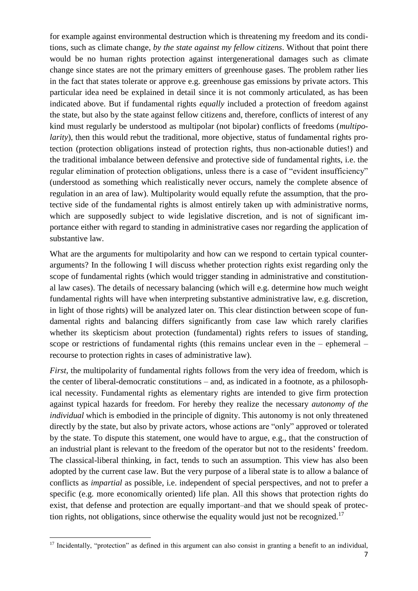for example against environmental destruction which is threatening my freedom and its conditions, such as climate change, *by the state against my fellow citizens*. Without that point there would be no human rights protection against intergenerational damages such as climate change since states are not the primary emitters of greenhouse gases. The problem rather lies in the fact that states tolerate or approve e.g. greenhouse gas emissions by private actors. This particular idea need be explained in detail since it is not commonly articulated, as has been indicated above. But if fundamental rights *equally* included a protection of freedom against the state, but also by the state against fellow citizens and, therefore, conflicts of interest of any kind must regularly be understood as multipolar (not bipolar) conflicts of freedoms (*multipolarity*), then this would rebut the traditional, more objective, status of fundamental rights protection (protection obligations instead of protection rights, thus non-actionable duties!) and the traditional imbalance between defensive and protective side of fundamental rights, i.e. the regular elimination of protection obligations, unless there is a case of "evident insufficiency" (understood as something which realistically never occurs, namely the complete absence of regulation in an area of law). Multipolarity would equally refute the assumption, that the protective side of the fundamental rights is almost entirely taken up with administrative norms, which are supposedly subject to wide legislative discretion, and is not of significant importance either with regard to standing in administrative cases nor regarding the application of substantive law.

What are the arguments for multipolarity and how can we respond to certain typical counterarguments? In the following I will discuss whether protection rights exist regarding only the scope of fundamental rights (which would trigger standing in administrative and constitutional law cases). The details of necessary balancing (which will e.g. determine how much weight fundamental rights will have when interpreting substantive administrative law, e.g. discretion, in light of those rights) will be analyzed later on. This clear distinction between scope of fundamental rights and balancing differs significantly from case law which rarely clarifies whether its skepticism about protection (fundamental) rights refers to issues of standing, scope or restrictions of fundamental rights (this remains unclear even in the – ephemeral – recourse to protection rights in cases of administrative law).

*First*, the multipolarity of fundamental rights follows from the very idea of freedom, which is the center of liberal-democratic constitutions – and, as indicated in a footnote, as a philosophical necessity. Fundamental rights as elementary rights are intended to give firm protection against typical hazards for freedom. For hereby they realize the necessary *autonomy of the individual* which is embodied in the principle of dignity. This autonomy is not only threatened directly by the state, but also by private actors, whose actions are "only" approved or tolerated by the state. To dispute this statement, one would have to argue, e.g., that the construction of an industrial plant is relevant to the freedom of the operator but not to the residents' freedom. The classical-liberal thinking, in fact, tends to such an assumption. This view has also been adopted by the current case law. But the very purpose of a liberal state is to allow a balance of conflicts as *impartial* as possible, i.e. independent of special perspectives, and not to prefer a specific (e.g. more economically oriented) life plan. All this shows that protection rights do exist, that defense and protection are equally important–and that we should speak of protection rights, not obligations, since otherwise the equality would just not be recognized.<sup>17</sup>

 $\overline{\phantom{a}}$ 

<sup>&</sup>lt;sup>17</sup> Incidentally, "protection" as defined in this argument can also consist in granting a benefit to an individual,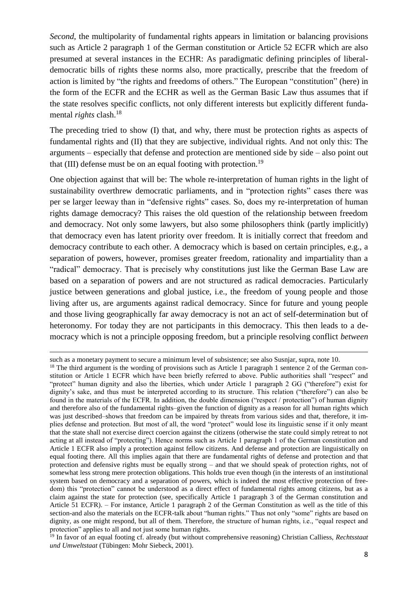*Second*, the multipolarity of fundamental rights appears in limitation or balancing provisions such as Article 2 paragraph 1 of the German constitution or Article 52 ECFR which are also presumed at several instances in the ECHR: As paradigmatic defining principles of liberaldemocratic bills of rights these norms also, more practically, prescribe that the freedom of action is limited by "the rights and freedoms of others." The European "constitution" (here) in the form of the ECFR and the ECHR as well as the German Basic Law thus assumes that if the state resolves specific conflicts, not only different interests but explicitly different fundamental *rights* clash. 18

The preceding tried to show (I) that, and why, there must be protection rights as aspects of fundamental rights and (II) that they are subjective, individual rights. And not only this: The arguments – especially that defense and protection are mentioned side by side – also point out that (III) defense must be on an equal footing with protection.<sup>19</sup>

One objection against that will be: The whole re-interpretation of human rights in the light of sustainability overthrew democratic parliaments, and in "protection rights" cases there was per se larger leeway than in "defensive rights" cases. So, does my re-interpretation of human rights damage democracy? This raises the old question of the relationship between freedom and democracy. Not only some lawyers, but also some philosophers think (partly implicitly) that democracy even has latent priority over freedom. It is initially correct that freedom and democracy contribute to each other. A democracy which is based on certain principles, e.g., a separation of powers, however, promises greater freedom, rationality and impartiality than a "radical" democracy. That is precisely why constitutions just like the German Base Law are based on a separation of powers and are not structured as radical democracies. Particularly justice between generations and global justice, i.e., the freedom of young people and those living after us, are arguments against radical democracy. Since for future and young people and those living geographically far away democracy is not an act of self-determination but of heteronomy. For today they are not participants in this democracy. This then leads to a democracy which is not a principle opposing freedom, but a principle resolving conflict *between* 

 $\overline{a}$ 

<sup>19</sup> In favor of an equal footing cf. already (but without comprehensive reasoning) Christian Calliess, *Rechtsstaat und Umweltstaat* (Tübingen: Mohr Siebeck, 2001).

such as a monetary payment to secure a minimum level of subsistence; see also Susnjar, supra, note 10.

<sup>&</sup>lt;sup>18</sup> The third argument is the wording of provisions such as Article 1 paragraph 1 sentence 2 of the German constitution or Article 1 ECFR which have been briefly referred to above. Public authorities shall "respect" and "protect" human dignity and also the liberties, which under Article 1 paragraph 2 GG ("therefore") exist for dignity's sake, and thus must be interpreted according to its structure. This relation ("therefore") can also be found in the materials of the ECFR. In addition, the double dimension ("respect / protection") of human dignity and therefore also of the fundamental rights–given the function of dignity as a reason for all human rights which was just described–shows that freedom can be impaired by threats from various sides and that, therefore, it implies defense and protection. But most of all, the word "protect" would lose its linguistic sense if it only meant that the state shall not exercise direct coercion against the citizens (otherwise the state could simply retreat to not acting at all instead of "protecting"). Hence norms such as Article 1 paragraph 1 of the German constitution and Article 1 ECFR also imply a protection against fellow citizens. And defense and protection are linguistically on equal footing there. All this implies again that there are fundamental rights of defense and protection and that protection and defensive rights must be equally strong – and that we should speak of protection rights, not of somewhat less strong mere protection obligations. This holds true even though (in the interests of an institutional system based on democracy and a separation of powers, which is indeed the most effective protection of freedom) this "protection" cannot be understood as a direct effect of fundamental rights among citizens, but as a claim against the state for protection (see, specifically Article 1 paragraph 3 of the German constitution and Article 51 ECFR). – For instance, Article 1 paragraph 2 of the German Constitution as well as the title of this section-and also the materials on the ECFR-talk about "human rights." Thus not only "some" rights are based on dignity, as one might respond, but all of them. Therefore, the structure of human rights, i.e., "equal respect and protection" applies to all and not just some human rights.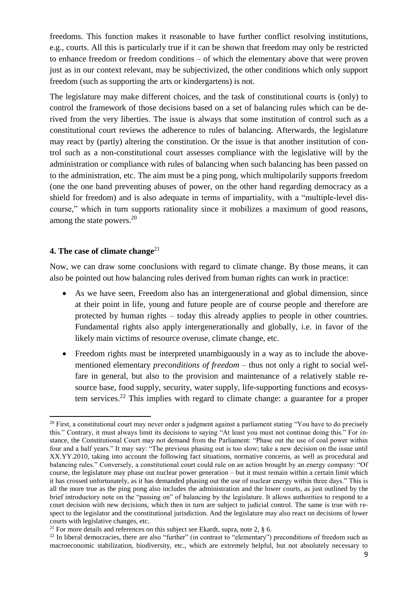freedoms. This function makes it reasonable to have further conflict resolving institutions, e.g., courts. All this is particularly true if it can be shown that freedom may only be restricted to enhance freedom or freedom conditions – of which the elementary above that were proven just as in our context relevant, may be subjectivized, the other conditions which only support freedom (such as supporting the arts or kindergartens) is not.

The legislature may make different choices, and the task of constitutional courts is (only) to control the framework of those decisions based on a set of balancing rules which can be derived from the very liberties. The issue is always that some institution of control such as a constitutional court reviews the adherence to rules of balancing. Afterwards, the legislature may react by (partly) altering the constitution. Or the issue is that another institution of control such as a non-constitutional court assesses compliance with the legislative will by the administration or compliance with rules of balancing when such balancing has been passed on to the administration, etc. The aim must be a ping pong, which multipolarily supports freedom (one the one hand preventing abuses of power, on the other hand regarding democracy as a shield for freedom) and is also adequate in terms of impartiality, with a "multiple-level discourse," which in turn supports rationality since it mobilizes a maximum of good reasons, among the state powers.<sup>20</sup>

## **4. The case of climate change**<sup>21</sup>

 $\overline{\phantom{a}}$ 

Now, we can draw some conclusions with regard to climate change. By those means, it can also be pointed out how balancing rules derived from human rights can work in practice:

- As we have seen, Freedom also has an intergenerational and global dimension, since at their point in life, young and future people are of course people and therefore are protected by human rights – today this already applies to people in other countries. Fundamental rights also apply intergenerationally and globally, i.e. in favor of the likely main victims of resource overuse, climate change, etc.
- Freedom rights must be interpreted unambiguously in a way as to include the abovementioned elementary *preconditions of freedom* – thus not only a right to social welfare in general, but also to the provision and maintenance of a relatively stable resource base, food supply, security, water supply, life-supporting functions and ecosystem services. <sup>22</sup> This implies with regard to climate change: a guarantee for a proper

<sup>&</sup>lt;sup>20</sup> First, a constitutional court may never order a judgment against a parliament stating "You have to do precisely this." Contrary, it must always limit its decisions to saying "At least you must not continue doing this." For instance, the Constitutional Court may not demand from the Parliament: "Phase out the use of coal power within four and a half years." It may say: "The previous phasing out is too slow; take a new decision on the issue until XX.YY.2010, taking into account the following fact situations, normative concerns, as well as procedural and balancing rules." Conversely, a constitutional court could rule on an action brought by an energy company: "Of course, the legislature may phase out nuclear power generation – but it must remain within a certain limit which it has crossed unfortunately, as it has demanded phasing out the use of nuclear energy within three days." This is all the more true as the ping pong also includes the administration and the lower courts, as just outlined by the brief introductory note on the "passing on" of balancing by the legislature. It allows authorities to respond to a court decision with new decisions, which then in turn are subject to judicial control. The same is true with respect to the legislator and the constitutional jurisdiction. And the legislature may also react on decisions of lower courts with legislative changes, etc.

<sup>&</sup>lt;sup>21</sup> For more details and references on this subject see Ekardt, supra, note 2,  $\S$  6.

 $22$  In liberal democracies, there are also "further" (in contrast to "elementary") preconditions of freedom such as macroeconomic stabilization, biodiversity, etc., which are extremely helpful, but not absolutely necessary to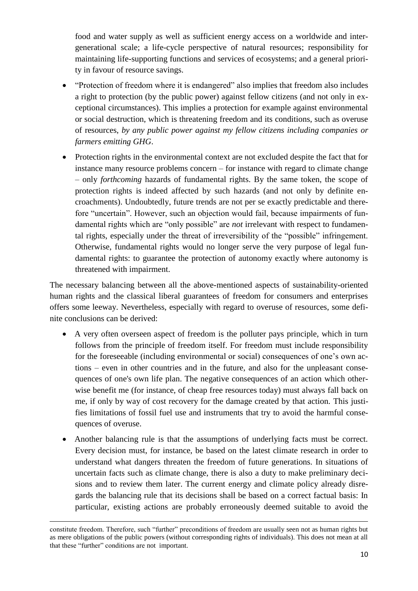food and water supply as well as sufficient energy access on a worldwide and intergenerational scale; a life-cycle perspective of natural resources; responsibility for maintaining life-supporting functions and services of ecosystems; and a general priority in favour of resource savings.

- "Protection of freedom where it is endangered" also implies that freedom also includes a right to protection (by the public power) against fellow citizens (and not only in exceptional circumstances). This implies a protection for example against environmental or social destruction, which is threatening freedom and its conditions, such as overuse of resources, *by any public power against my fellow citizens including companies or farmers emitting GHG*.
- Protection rights in the environmental context are not excluded despite the fact that for instance many resource problems concern – for instance with regard to climate change – only *forthcoming* hazards of fundamental rights. By the same token, the scope of protection rights is indeed affected by such hazards (and not only by definite encroachments). Undoubtedly, future trends are not per se exactly predictable and therefore "uncertain". However, such an objection would fail, because impairments of fundamental rights which are "only possible" are *not* irrelevant with respect to fundamental rights, especially under the threat of irreversibility of the "possible" infringement. Otherwise, fundamental rights would no longer serve the very purpose of legal fundamental rights: to guarantee the protection of autonomy exactly where autonomy is threatened with impairment.

The necessary balancing between all the above-mentioned aspects of sustainability-oriented human rights and the classical liberal guarantees of freedom for consumers and enterprises offers some leeway. Nevertheless, especially with regard to overuse of resources, some definite conclusions can be derived:

- A very often overseen aspect of freedom is the polluter pays principle, which in turn follows from the principle of freedom itself. For freedom must include responsibility for the foreseeable (including environmental or social) consequences of one's own actions – even in other countries and in the future, and also for the unpleasant consequences of one's own life plan. The negative consequences of an action which otherwise benefit me (for instance, of cheap free resources today) must always fall back on me, if only by way of cost recovery for the damage created by that action. This justifies limitations of fossil fuel use and instruments that try to avoid the harmful consequences of overuse.
- Another balancing rule is that the assumptions of underlying facts must be correct. Every decision must, for instance, be based on the latest climate research in order to understand what dangers threaten the freedom of future generations. In situations of uncertain facts such as climate change, there is also a duty to make preliminary decisions and to review them later. The current energy and climate policy already disregards the balancing rule that its decisions shall be based on a correct factual basis: In particular, existing actions are probably erroneously deemed suitable to avoid the

l constitute freedom. Therefore, such "further" preconditions of freedom are usually seen not as human rights but as mere obligations of the public powers (without corresponding rights of individuals). This does not mean at all that these "further" conditions are not important.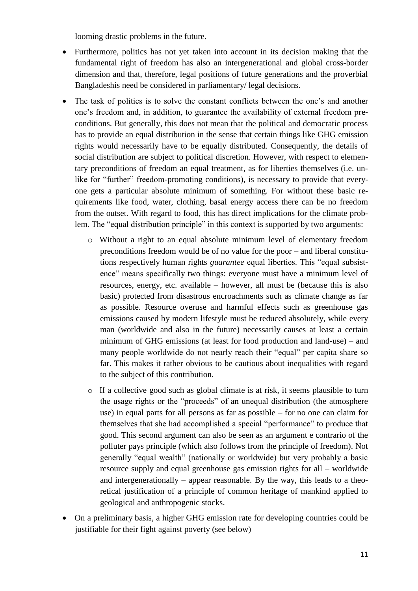looming drastic problems in the future.

- Furthermore, politics has not yet taken into account in its decision making that the fundamental right of freedom has also an intergenerational and global cross-border dimension and that, therefore, legal positions of future generations and the proverbial Bangladeshis need be considered in parliamentary/ legal decisions.
- The task of politics is to solve the constant conflicts between the one's and another one's freedom and, in addition, to guarantee the availability of external freedom preconditions. But generally, this does not mean that the political and democratic process has to provide an equal distribution in the sense that certain things like GHG emission rights would necessarily have to be equally distributed. Consequently, the details of social distribution are subject to political discretion. However, with respect to elementary preconditions of freedom an equal treatment, as for liberties themselves (i.e. unlike for "further" freedom-promoting conditions), is necessary to provide that everyone gets a particular absolute minimum of something. For without these basic requirements like food, water, clothing, basal energy access there can be no freedom from the outset. With regard to food, this has direct implications for the climate problem. The "equal distribution principle" in this context is supported by two arguments:
	- o Without a right to an equal absolute minimum level of elementary freedom preconditions freedom would be of no value for the poor – and liberal constitutions respectively human rights *guarantee* equal liberties. This "equal subsistence" means specifically two things: everyone must have a minimum level of resources, energy, etc. available – however, all must be (because this is also basic) protected from disastrous encroachments such as climate change as far as possible. Resource overuse and harmful effects such as greenhouse gas emissions caused by modern lifestyle must be reduced absolutely, while every man (worldwide and also in the future) necessarily causes at least a certain minimum of GHG emissions (at least for food production and land-use) – and many people worldwide do not nearly reach their "equal" per capita share so far. This makes it rather obvious to be cautious about inequalities with regard to the subject of this contribution.
	- o If a collective good such as global climate is at risk, it seems plausible to turn the usage rights or the "proceeds" of an unequal distribution (the atmosphere use) in equal parts for all persons as far as possible – for no one can claim for themselves that she had accomplished a special "performance" to produce that good. This second argument can also be seen as an argument e contrario of the polluter pays principle (which also follows from the principle of freedom). Not generally "equal wealth" (nationally or worldwide) but very probably a basic resource supply and equal greenhouse gas emission rights for all – worldwide and intergenerationally – appear reasonable. By the way, this leads to a theoretical justification of a principle of common heritage of mankind applied to geological and anthropogenic stocks.
- On a preliminary basis, a higher GHG emission rate for developing countries could be justifiable for their fight against poverty (see below)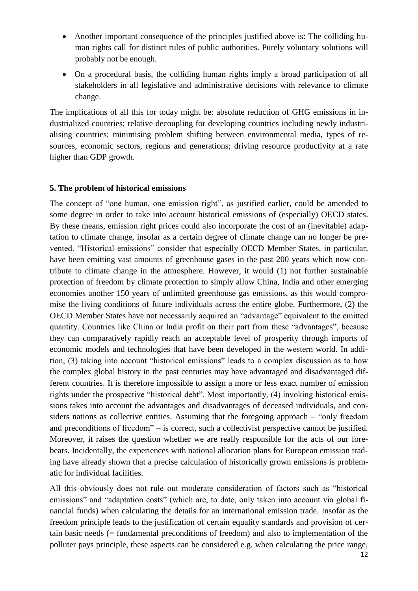- Another important consequence of the principles justified above is: The colliding human rights call for distinct rules of public authorities. Purely voluntary solutions will probably not be enough.
- On a procedural basis, the colliding human rights imply a broad participation of all stakeholders in all legislative and administrative decisions with relevance to climate change.

The implications of all this for today might be: absolute reduction of GHG emissions in industrialized countries; relative decoupling for developing countries including newly industrialising countries; minimising problem shifting between environmental media, types of resources, economic sectors, regions and generations; driving resource productivity at a rate higher than GDP growth.

### **5. The problem of historical emissions**

The concept of "one human, one emission right", as justified earlier, could be amended to some degree in order to take into account historical emissions of (especially) OECD states. By these means, emission right prices could also incorporate the cost of an (inevitable) adaptation to climate change, insofar as a certain degree of climate change can no longer be prevented. "Historical emissions" consider that especially OECD Member States, in particular, have been emitting vast amounts of greenhouse gases in the past 200 years which now contribute to climate change in the atmosphere. However, it would (1) not further sustainable protection of freedom by climate protection to simply allow China, India and other emerging economies another 150 years of unlimited greenhouse gas emissions, as this would compromise the living conditions of future individuals across the entire globe. Furthermore, (2) the OECD Member States have not necessarily acquired an "advantage" equivalent to the emitted quantity. Countries like China or India profit on their part from these "advantages", because they can comparatively rapidly reach an acceptable level of prosperity through imports of economic models and technologies that have been developed in the western world. In addition, (3) taking into account "historical emissions" leads to a complex discussion as to how the complex global history in the past centuries may have advantaged and disadvantaged different countries. It is therefore impossible to assign a more or less exact number of emission rights under the prospective "historical debt". Most importantly, (4) invoking historical emissions takes into account the advantages and disadvantages of deceased individuals, and considers nations as collective entities. Assuming that the foregoing approach – "only freedom and preconditions of freedom" – is correct, such a collectivist perspective cannot be justified. Moreover, it raises the question whether we are really responsible for the acts of our forebears. Incidentally, the experiences with national allocation plans for European emission trading have already shown that a precise calculation of historically grown emissions is problematic for individual facilities.

All this obviously does not rule out moderate consideration of factors such as "historical emissions" and "adaptation costs" (which are, to date, only taken into account via global financial funds) when calculating the details for an international emission trade. Insofar as the freedom principle leads to the justification of certain equality standards and provision of certain basic needs (= fundamental preconditions of freedom) and also to implementation of the polluter pays principle, these aspects can be considered e.g. when calculating the price range,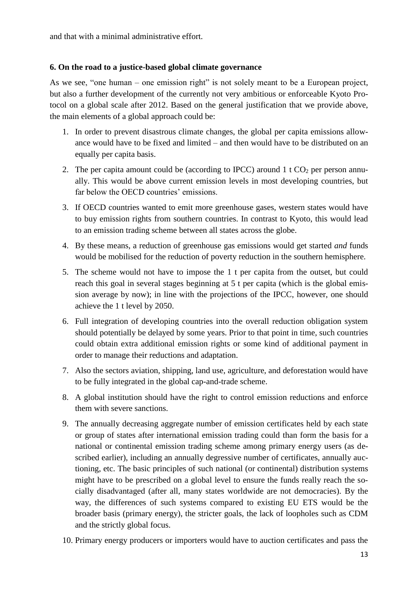and that with a minimal administrative effort.

## **6. On the road to a justice-based global climate governance**

As we see, "one human – one emission right" is not solely meant to be a European project, but also a further development of the currently not very ambitious or enforceable Kyoto Protocol on a global scale after 2012. Based on the general justification that we provide above, the main elements of a global approach could be:

- 1. In order to prevent disastrous climate changes, the global per capita emissions allowance would have to be fixed and limited – and then would have to be distributed on an equally per capita basis.
- 2. The per capita amount could be (according to IPCC) around  $1 \text{ t } CO_2$  per person annually. This would be above current emission levels in most developing countries, but far below the OECD countries' emissions.
- 3. If OECD countries wanted to emit more greenhouse gases, western states would have to buy emission rights from southern countries. In contrast to Kyoto, this would lead to an emission trading scheme between all states across the globe.
- 4. By these means, a reduction of greenhouse gas emissions would get started *and* funds would be mobilised for the reduction of poverty reduction in the southern hemisphere.
- 5. The scheme would not have to impose the 1 t per capita from the outset, but could reach this goal in several stages beginning at 5 t per capita (which is the global emission average by now); in line with the projections of the IPCC, however, one should achieve the 1 t level by 2050.
- 6. Full integration of developing countries into the overall reduction obligation system should potentially be delayed by some years. Prior to that point in time, such countries could obtain extra additional emission rights or some kind of additional payment in order to manage their reductions and adaptation.
- 7. Also the sectors aviation, shipping, land use, agriculture, and deforestation would have to be fully integrated in the global cap-and-trade scheme.
- 8. A global institution should have the right to control emission reductions and enforce them with severe sanctions.
- 9. The annually decreasing aggregate number of emission certificates held by each state or group of states after international emission trading could than form the basis for a national or continental emission trading scheme among primary energy users (as described earlier), including an annually degressive number of certificates, annually auctioning, etc. The basic principles of such national (or continental) distribution systems might have to be prescribed on a global level to ensure the funds really reach the socially disadvantaged (after all, many states worldwide are not democracies). By the way, the differences of such systems compared to existing EU ETS would be the broader basis (primary energy), the stricter goals, the lack of loopholes such as CDM and the strictly global focus.
- 10. Primary energy producers or importers would have to auction certificates and pass the